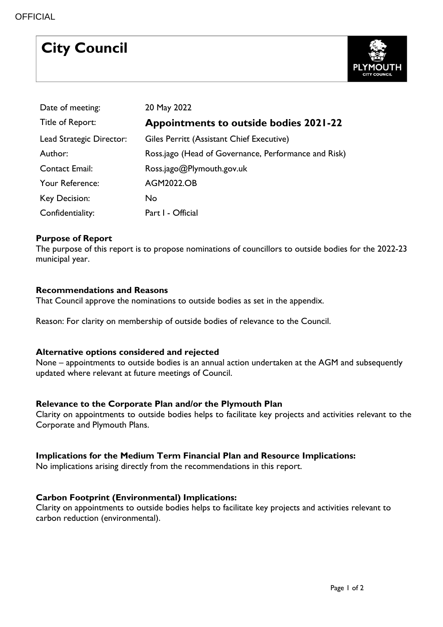# **City Council**



| Date of meeting:         | 20 May 2022                                          |
|--------------------------|------------------------------------------------------|
| Title of Report:         | <b>Appointments to outside bodies 2021-22</b>        |
| Lead Strategic Director: | Giles Perritt (Assistant Chief Executive)            |
| Author:                  | Ross.jago (Head of Governance, Performance and Risk) |
| <b>Contact Email:</b>    | Ross.jago@Plymouth.gov.uk                            |
| Your Reference:          | <b>AGM2022.OB</b>                                    |
| Key Decision:            | <b>No</b>                                            |
| Confidentiality:         | Part I - Official                                    |

# **Purpose of Report**

The purpose of this report is to propose nominations of councillors to outside bodies for the 2022-23 municipal year.

#### **Recommendations and Reasons**

That Council approve the nominations to outside bodies as set in the appendix.

Reason: For clarity on membership of outside bodies of relevance to the Council.

# **Alternative options considered and rejected**

None – appointments to outside bodies is an annual action undertaken at the AGM and subsequently updated where relevant at future meetings of Council.

# **Relevance to the Corporate Plan and/or the Plymouth Plan**

Clarity on appointments to outside bodies helps to facilitate key projects and activities relevant to the Corporate and Plymouth Plans.

# **Implications for the Medium Term Financial Plan and Resource Implications:**

No implications arising directly from the recommendations in this report.

# **Carbon Footprint (Environmental) Implications:**

Clarity on appointments to outside bodies helps to facilitate key projects and activities relevant to carbon reduction (environmental).